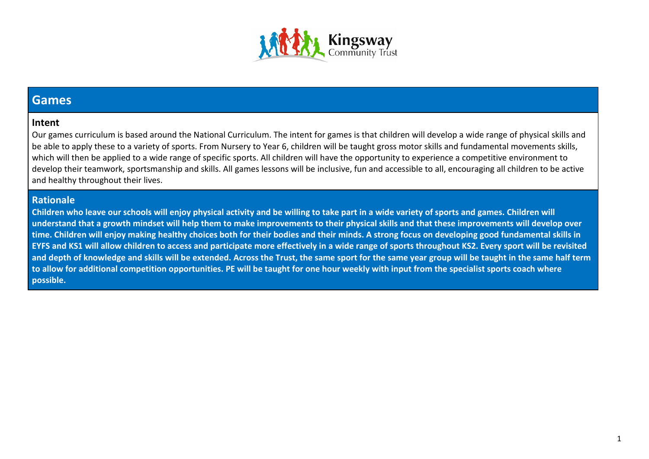

### **Games**

### **Intent**

Our games curriculum is based around the National Curriculum. The intent for games is that children will develop a wide range of physical skills and be able to apply these to a variety of sports. From Nursery to Year 6, children will be taught gross motor skills and fundamental movements skills, which will then be applied to a wide range of specific sports. All children will have the opportunity to experience a competitive environment to develop their teamwork, sportsmanship and skills. All games lessons will be inclusive, fun and accessible to all, encouraging all children to be active and healthy throughout their lives.

### **Rationale**

**Children who leave our schools will enjoy physical activity and be willing to take part in a wide variety of sports and games. Children will understand that a growth mindset will help them to make improvements to their physical skills and that these improvements will develop over time. Children will enjoy making healthy choices both for their bodies and their minds. A strong focus on developing good fundamental skills in EYFS and KS1 will allow children to access and participate more effectively in a wide range of sports throughout KS2. Every sport will be revisited and depth of knowledge and skills will be extended. Across the Trust, the same sport for the same year group will be taught in the same half term to allow for additional competition opportunities. PE will be taught for one hour weekly with input from the specialist sports coach where possible.**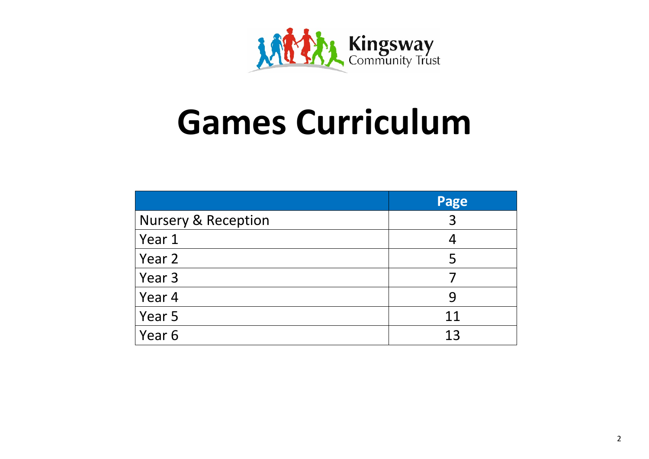

# **Games Curriculum**

|                                | Page |
|--------------------------------|------|
| <b>Nursery &amp; Reception</b> | 3    |
| Year 1                         |      |
| Year 2                         | 5    |
| Year 3                         |      |
| Year 4                         | 9    |
| Year 5                         | 11   |
| Year 6                         | 13   |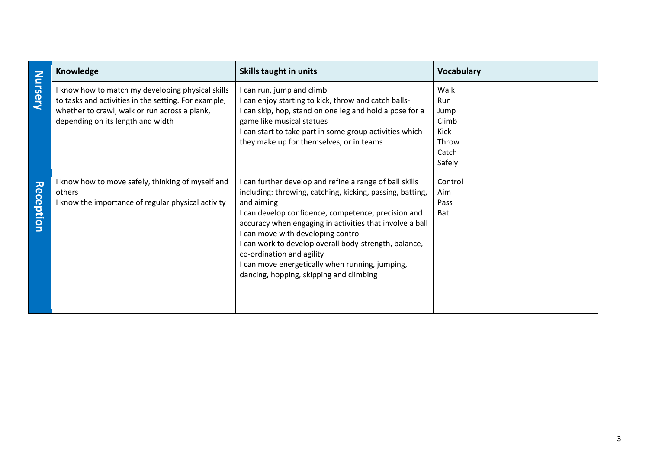|                  | Knowledge                                                                                                                                                                                     | Skills taught in units                                                                                                                                                                                                                                                                                                                                                                                                                                                | <b>Vocabulary</b>                                                |
|------------------|-----------------------------------------------------------------------------------------------------------------------------------------------------------------------------------------------|-----------------------------------------------------------------------------------------------------------------------------------------------------------------------------------------------------------------------------------------------------------------------------------------------------------------------------------------------------------------------------------------------------------------------------------------------------------------------|------------------------------------------------------------------|
| Nursery          | know how to match my developing physical skills<br>to tasks and activities in the setting. For example,<br>whether to crawl, walk or run across a plank,<br>depending on its length and width | can run, jump and climb<br>can enjoy starting to kick, throw and catch balls-<br>can skip, hop, stand on one leg and hold a pose for a<br>game like musical statues<br>can start to take part in some group activities which<br>they make up for themselves, or in teams                                                                                                                                                                                              | Walk<br>Run<br>Jump<br>Climb<br>Kick<br>Throw<br>Catch<br>Safely |
| <b>Reception</b> | know how to move safely, thinking of myself and<br>others<br>know the importance of regular physical activity                                                                                 | can further develop and refine a range of ball skills<br>including: throwing, catching, kicking, passing, batting,<br>and aiming<br>can develop confidence, competence, precision and<br>accuracy when engaging in activities that involve a ball<br>can move with developing control<br>can work to develop overall body-strength, balance,<br>co-ordination and agility<br>can move energetically when running, jumping,<br>dancing, hopping, skipping and climbing | Control<br>Aim<br>Pass<br><b>Bat</b>                             |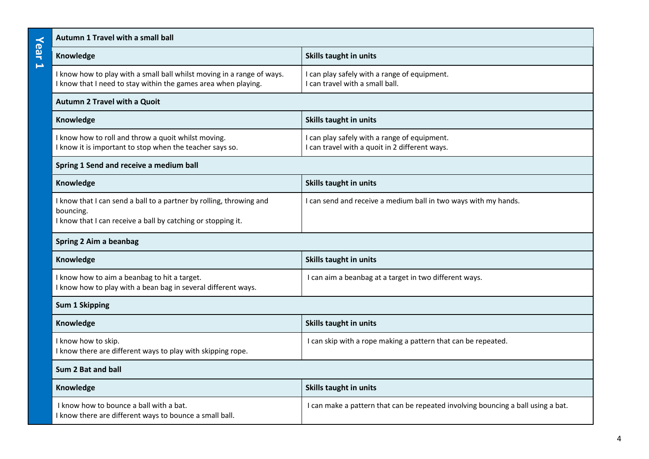|                   | Autumn 1 Travel with a small ball                                                                                                                |                                                                                                |  |
|-------------------|--------------------------------------------------------------------------------------------------------------------------------------------------|------------------------------------------------------------------------------------------------|--|
| Year<br>$\mapsto$ | Knowledge                                                                                                                                        | Skills taught in units                                                                         |  |
|                   | I know how to play with a small ball whilst moving in a range of ways.<br>I know that I need to stay within the games area when playing.         | I can play safely with a range of equipment.<br>I can travel with a small ball.                |  |
|                   | <b>Autumn 2 Travel with a Quoit</b>                                                                                                              |                                                                                                |  |
|                   | Knowledge                                                                                                                                        | Skills taught in units                                                                         |  |
|                   | I know how to roll and throw a quoit whilst moving.<br>I know it is important to stop when the teacher says so.                                  | I can play safely with a range of equipment.<br>I can travel with a quoit in 2 different ways. |  |
|                   | Spring 1 Send and receive a medium ball                                                                                                          |                                                                                                |  |
|                   | Knowledge                                                                                                                                        | Skills taught in units                                                                         |  |
|                   | I know that I can send a ball to a partner by rolling, throwing and<br>bouncing.<br>I know that I can receive a ball by catching or stopping it. | I can send and receive a medium ball in two ways with my hands.                                |  |
|                   | Spring 2 Aim a beanbag                                                                                                                           |                                                                                                |  |
|                   | Knowledge                                                                                                                                        | Skills taught in units                                                                         |  |
|                   | I know how to aim a beanbag to hit a target.<br>I know how to play with a bean bag in several different ways.                                    | I can aim a beanbag at a target in two different ways.                                         |  |
|                   | <b>Sum 1 Skipping</b>                                                                                                                            |                                                                                                |  |
|                   | Knowledge                                                                                                                                        | Skills taught in units                                                                         |  |
|                   | I know how to skip.<br>I know there are different ways to play with skipping rope.                                                               | I can skip with a rope making a pattern that can be repeated.                                  |  |
|                   | Sum 2 Bat and ball                                                                                                                               |                                                                                                |  |
|                   | Knowledge                                                                                                                                        | Skills taught in units                                                                         |  |
|                   | I know how to bounce a ball with a bat.<br>I know there are different ways to bounce a small ball.                                               | I can make a pattern that can be repeated involving bouncing a ball using a bat.               |  |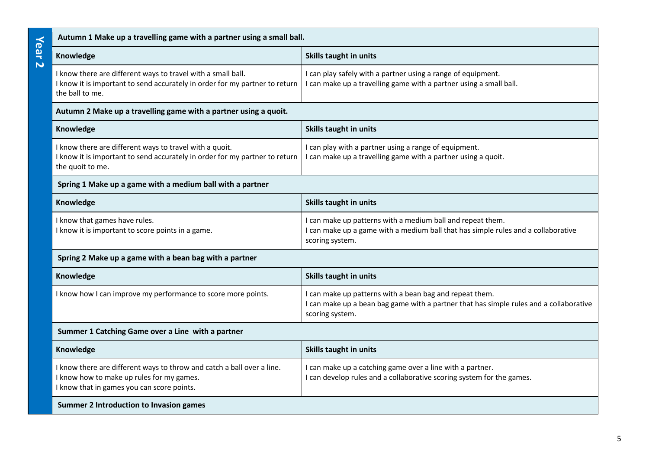|                                 | Autumn 1 Make up a travelling game with a partner using a small ball.                                                                                             |                                                                                                                                                                      |  |
|---------------------------------|-------------------------------------------------------------------------------------------------------------------------------------------------------------------|----------------------------------------------------------------------------------------------------------------------------------------------------------------------|--|
| Year<br>$\overline{\mathbf{N}}$ | Knowledge                                                                                                                                                         | <b>Skills taught in units</b>                                                                                                                                        |  |
|                                 | I know there are different ways to travel with a small ball.<br>I know it is important to send accurately in order for my partner to return<br>the ball to me.    | I can play safely with a partner using a range of equipment.<br>I can make up a travelling game with a partner using a small ball.                                   |  |
|                                 | Autumn 2 Make up a travelling game with a partner using a quoit.                                                                                                  |                                                                                                                                                                      |  |
|                                 | Knowledge                                                                                                                                                         | Skills taught in units                                                                                                                                               |  |
|                                 | I know there are different ways to travel with a quoit.<br>I know it is important to send accurately in order for my partner to return<br>the quoit to me.        | I can play with a partner using a range of equipment.<br>I can make up a travelling game with a partner using a quoit.                                               |  |
|                                 | Spring 1 Make up a game with a medium ball with a partner                                                                                                         |                                                                                                                                                                      |  |
|                                 | Knowledge                                                                                                                                                         | Skills taught in units                                                                                                                                               |  |
|                                 | I know that games have rules.<br>I know it is important to score points in a game.                                                                                | I can make up patterns with a medium ball and repeat them.<br>I can make up a game with a medium ball that has simple rules and a collaborative<br>scoring system.   |  |
|                                 | Spring 2 Make up a game with a bean bag with a partner                                                                                                            |                                                                                                                                                                      |  |
|                                 | Knowledge                                                                                                                                                         | Skills taught in units                                                                                                                                               |  |
|                                 | I know how I can improve my performance to score more points.                                                                                                     | I can make up patterns with a bean bag and repeat them.<br>I can make up a bean bag game with a partner that has simple rules and a collaborative<br>scoring system. |  |
|                                 | Summer 1 Catching Game over a Line with a partner                                                                                                                 |                                                                                                                                                                      |  |
|                                 | Knowledge                                                                                                                                                         | Skills taught in units                                                                                                                                               |  |
|                                 | I know there are different ways to throw and catch a ball over a line.<br>I know how to make up rules for my games.<br>I know that in games you can score points. | I can make up a catching game over a line with a partner.<br>I can develop rules and a collaborative scoring system for the games.                                   |  |
|                                 | <b>Summer 2 Introduction to Invasion games</b>                                                                                                                    |                                                                                                                                                                      |  |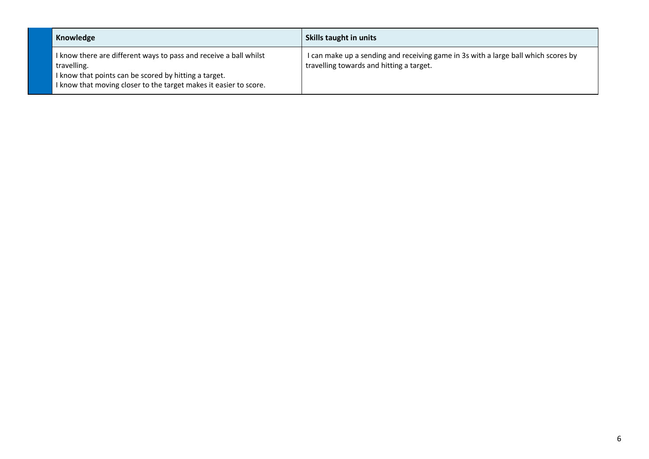| Knowledge                                                                                                                                                                                                      | Skills taught in units                                                                                                         |
|----------------------------------------------------------------------------------------------------------------------------------------------------------------------------------------------------------------|--------------------------------------------------------------------------------------------------------------------------------|
| I know there are different ways to pass and receive a ball whilst<br>travelling.<br>I know that points can be scored by hitting a target.<br>I know that moving closer to the target makes it easier to score. | I can make up a sending and receiving game in 3s with a large ball which scores by<br>travelling towards and hitting a target. |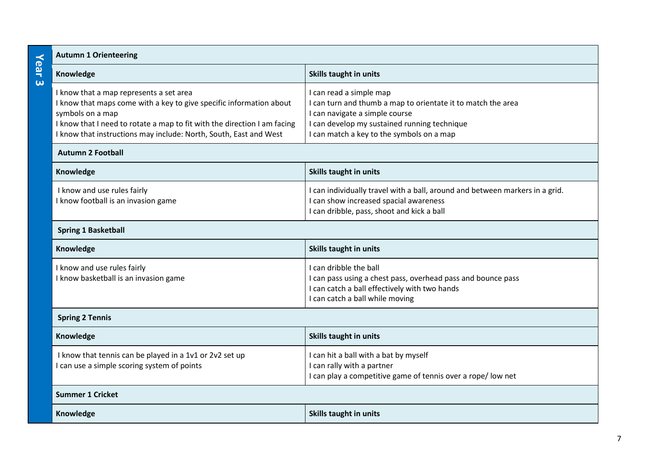|               | <b>Autumn 1 Orienteering</b>                                                                                                                                                                                                                                                        |                                                                                                                                                                                                                        |  |
|---------------|-------------------------------------------------------------------------------------------------------------------------------------------------------------------------------------------------------------------------------------------------------------------------------------|------------------------------------------------------------------------------------------------------------------------------------------------------------------------------------------------------------------------|--|
| <b>Year 3</b> | Knowledge                                                                                                                                                                                                                                                                           | <b>Skills taught in units</b>                                                                                                                                                                                          |  |
|               | I know that a map represents a set area<br>I know that maps come with a key to give specific information about<br>symbols on a map<br>I know that I need to rotate a map to fit with the direction I am facing<br>I know that instructions may include: North, South, East and West | I can read a simple map<br>I can turn and thumb a map to orientate it to match the area<br>I can navigate a simple course<br>I can develop my sustained running technique<br>I can match a key to the symbols on a map |  |
|               | <b>Autumn 2 Football</b>                                                                                                                                                                                                                                                            |                                                                                                                                                                                                                        |  |
|               | Knowledge                                                                                                                                                                                                                                                                           | <b>Skills taught in units</b>                                                                                                                                                                                          |  |
|               | I know and use rules fairly<br>I know football is an invasion game                                                                                                                                                                                                                  | I can individually travel with a ball, around and between markers in a grid.<br>I can show increased spacial awareness<br>I can dribble, pass, shoot and kick a ball                                                   |  |
|               | <b>Spring 1 Basketball</b>                                                                                                                                                                                                                                                          |                                                                                                                                                                                                                        |  |
|               | Knowledge                                                                                                                                                                                                                                                                           | <b>Skills taught in units</b>                                                                                                                                                                                          |  |
|               | I know and use rules fairly<br>I know basketball is an invasion game                                                                                                                                                                                                                | I can dribble the ball<br>I can pass using a chest pass, overhead pass and bounce pass<br>I can catch a ball effectively with two hands<br>I can catch a ball while moving                                             |  |
|               | <b>Spring 2 Tennis</b>                                                                                                                                                                                                                                                              |                                                                                                                                                                                                                        |  |
|               | Knowledge                                                                                                                                                                                                                                                                           | Skills taught in units                                                                                                                                                                                                 |  |
|               | I know that tennis can be played in a 1v1 or 2v2 set up<br>I can use a simple scoring system of points                                                                                                                                                                              | I can hit a ball with a bat by myself<br>I can rally with a partner<br>I can play a competitive game of tennis over a rope/ low net                                                                                    |  |
|               | <b>Summer 1 Cricket</b>                                                                                                                                                                                                                                                             |                                                                                                                                                                                                                        |  |
|               | Knowledge                                                                                                                                                                                                                                                                           | Skills taught in units                                                                                                                                                                                                 |  |
|               |                                                                                                                                                                                                                                                                                     |                                                                                                                                                                                                                        |  |

7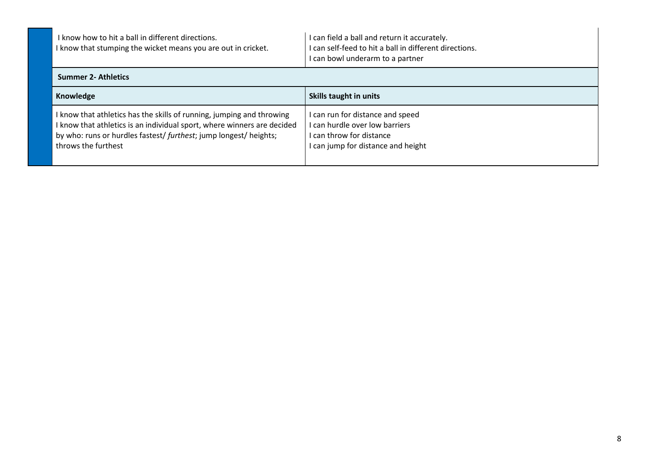| I know how to hit a ball in different directions.<br>I know that stumping the wicket means you are out in cricket.                                                                                                                           | I can field a ball and return it accurately.<br>I can self-feed to hit a ball in different directions.<br>I can bowl underarm to a partner |
|----------------------------------------------------------------------------------------------------------------------------------------------------------------------------------------------------------------------------------------------|--------------------------------------------------------------------------------------------------------------------------------------------|
| <b>Summer 2- Athletics</b>                                                                                                                                                                                                                   |                                                                                                                                            |
| Knowledge                                                                                                                                                                                                                                    | Skills taught in units                                                                                                                     |
| I know that athletics has the skills of running, jumping and throwing<br>I know that athletics is an individual sport, where winners are decided<br>by who: runs or hurdles fastest/ furthest; jump longest/ heights;<br>throws the furthest | I can run for distance and speed<br>I can hurdle over low barriers<br>I can throw for distance<br>I can jump for distance and height       |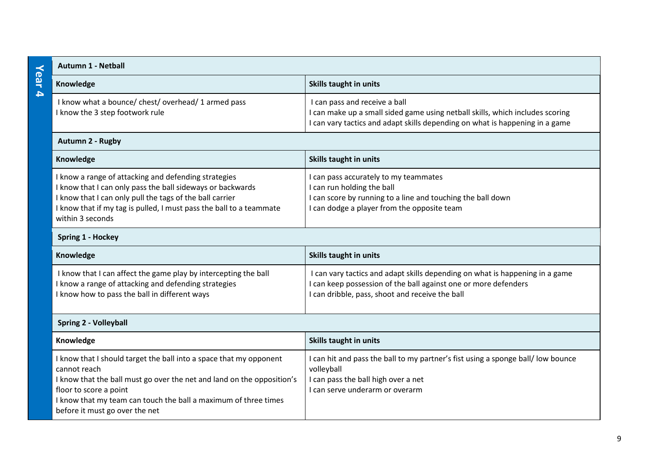|                  | <b>Autumn 1 - Netball</b>                                                                                                                                                                                                                                                                   |                                                                                                                                                                                                |  |
|------------------|---------------------------------------------------------------------------------------------------------------------------------------------------------------------------------------------------------------------------------------------------------------------------------------------|------------------------------------------------------------------------------------------------------------------------------------------------------------------------------------------------|--|
| Year             | Knowledge                                                                                                                                                                                                                                                                                   | Skills taught in units                                                                                                                                                                         |  |
| $\blacktriangle$ | I know what a bounce/ chest/ overhead/ 1 armed pass<br>I know the 3 step footwork rule                                                                                                                                                                                                      | I can pass and receive a ball<br>can make up a small sided game using netball skills, which includes scoring<br>can vary tactics and adapt skills depending on what is happening in a game     |  |
|                  | Autumn 2 - Rugby                                                                                                                                                                                                                                                                            |                                                                                                                                                                                                |  |
|                  | Knowledge                                                                                                                                                                                                                                                                                   | Skills taught in units                                                                                                                                                                         |  |
|                  | I know a range of attacking and defending strategies<br>I know that I can only pass the ball sideways or backwards<br>I know that I can only pull the tags of the ball carrier<br>I know that if my tag is pulled, I must pass the ball to a teammate<br>within 3 seconds                   | can pass accurately to my teammates<br>can run holding the ball<br>can score by running to a line and touching the ball down<br>I can dodge a player from the opposite team                    |  |
|                  | <b>Spring 1 - Hockey</b>                                                                                                                                                                                                                                                                    |                                                                                                                                                                                                |  |
|                  | Knowledge                                                                                                                                                                                                                                                                                   | Skills taught in units                                                                                                                                                                         |  |
|                  | I know that I can affect the game play by intercepting the ball<br>I know a range of attacking and defending strategies<br>I know how to pass the ball in different ways                                                                                                                    | I can vary tactics and adapt skills depending on what is happening in a game<br>can keep possession of the ball against one or more defenders<br>can dribble, pass, shoot and receive the ball |  |
|                  | <b>Spring 2 - Volleyball</b>                                                                                                                                                                                                                                                                |                                                                                                                                                                                                |  |
|                  | Knowledge                                                                                                                                                                                                                                                                                   | Skills taught in units                                                                                                                                                                         |  |
|                  | I know that I should target the ball into a space that my opponent<br>cannot reach<br>I know that the ball must go over the net and land on the opposition's<br>floor to score a point<br>I know that my team can touch the ball a maximum of three times<br>before it must go over the net | can hit and pass the ball to my partner's fist using a sponge ball/ low bounce<br>volleyball<br>I can pass the ball high over a net<br>can serve underarm or overarm                           |  |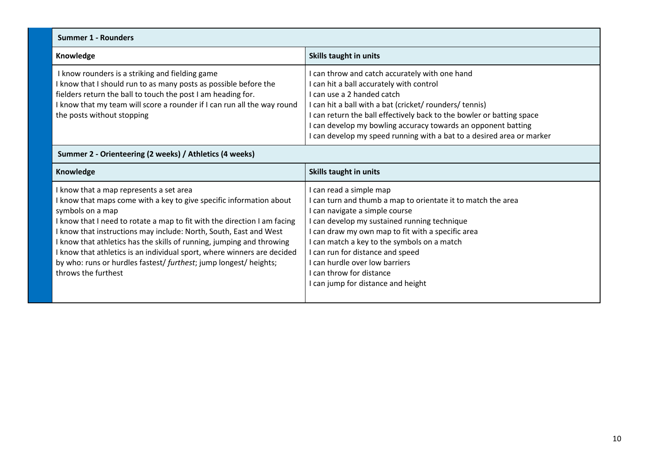| <b>Summer 1 - Rounders</b>                                                                                                                                                                                                                                                                                                                                                                                                                                                                                                          |                                                                                                                                                                                                                                                                                                                                                                                                                       |
|-------------------------------------------------------------------------------------------------------------------------------------------------------------------------------------------------------------------------------------------------------------------------------------------------------------------------------------------------------------------------------------------------------------------------------------------------------------------------------------------------------------------------------------|-----------------------------------------------------------------------------------------------------------------------------------------------------------------------------------------------------------------------------------------------------------------------------------------------------------------------------------------------------------------------------------------------------------------------|
| Knowledge                                                                                                                                                                                                                                                                                                                                                                                                                                                                                                                           | <b>Skills taught in units</b>                                                                                                                                                                                                                                                                                                                                                                                         |
| I know rounders is a striking and fielding game<br>I know that I should run to as many posts as possible before the<br>fielders return the ball to touch the post I am heading for.<br>I know that my team will score a rounder if I can run all the way round<br>the posts without stopping                                                                                                                                                                                                                                        | I can throw and catch accurately with one hand<br>I can hit a ball accurately with control<br>I can use a 2 handed catch<br>I can hit a ball with a bat (cricket/ rounders/ tennis)<br>I can return the ball effectively back to the bowler or batting space<br>I can develop my bowling accuracy towards an opponent batting<br>I can develop my speed running with a bat to a desired area or marker                |
| Summer 2 - Orienteering (2 weeks) / Athletics (4 weeks)                                                                                                                                                                                                                                                                                                                                                                                                                                                                             |                                                                                                                                                                                                                                                                                                                                                                                                                       |
| Knowledge                                                                                                                                                                                                                                                                                                                                                                                                                                                                                                                           | <b>Skills taught in units</b>                                                                                                                                                                                                                                                                                                                                                                                         |
| I know that a map represents a set area<br>I know that maps come with a key to give specific information about<br>symbols on a map<br>I know that I need to rotate a map to fit with the direction I am facing<br>I know that instructions may include: North, South, East and West<br>I know that athletics has the skills of running, jumping and throwing<br>I know that athletics is an individual sport, where winners are decided<br>by who: runs or hurdles fastest/ furthest; jump longest/ heights;<br>throws the furthest | I can read a simple map<br>I can turn and thumb a map to orientate it to match the area<br>I can navigate a simple course<br>I can develop my sustained running technique<br>I can draw my own map to fit with a specific area<br>I can match a key to the symbols on a match<br>I can run for distance and speed<br>I can hurdle over low barriers<br>I can throw for distance<br>I can jump for distance and height |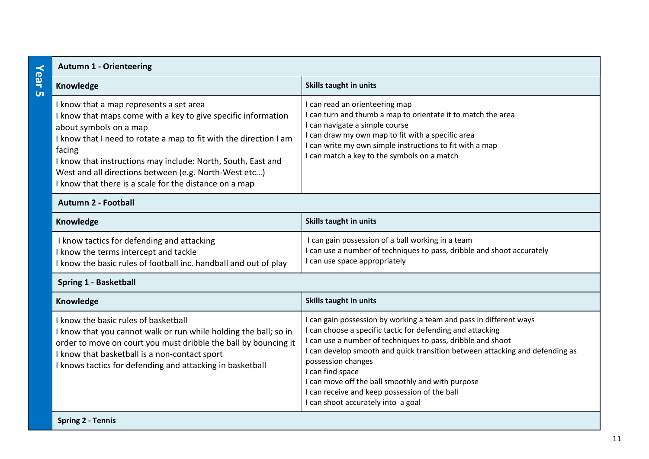|                            | <b>Autumn 1 - Orienteering</b>                                                                                                                                                                                                                                                                                                                                                                       |                                                                                                                                                                                                                                                                                                                                                                                                                                                                       |  |
|----------------------------|------------------------------------------------------------------------------------------------------------------------------------------------------------------------------------------------------------------------------------------------------------------------------------------------------------------------------------------------------------------------------------------------------|-----------------------------------------------------------------------------------------------------------------------------------------------------------------------------------------------------------------------------------------------------------------------------------------------------------------------------------------------------------------------------------------------------------------------------------------------------------------------|--|
|                            | Knowledge                                                                                                                                                                                                                                                                                                                                                                                            | <b>Skills taught in units</b>                                                                                                                                                                                                                                                                                                                                                                                                                                         |  |
|                            | I know that a map represents a set area<br>I know that maps come with a key to give specific information<br>about symbols on a map<br>I know that I need to rotate a map to fit with the direction I am<br>facing<br>I know that instructions may include: North, South, East and<br>West and all directions between (e.g. North-West etc)<br>I know that there is a scale for the distance on a map | I can read an orienteering map<br>I can turn and thumb a map to orientate it to match the area<br>I can navigate a simple course<br>I can draw my own map to fit with a specific area<br>I can write my own simple instructions to fit with a map<br>I can match a key to the symbols on a match                                                                                                                                                                      |  |
| <b>Autumn 2 - Football</b> |                                                                                                                                                                                                                                                                                                                                                                                                      |                                                                                                                                                                                                                                                                                                                                                                                                                                                                       |  |
|                            | Knowledge                                                                                                                                                                                                                                                                                                                                                                                            | Skills taught in units                                                                                                                                                                                                                                                                                                                                                                                                                                                |  |
|                            | I know tactics for defending and attacking<br>I know the terms intercept and tackle<br>I know the basic rules of football inc. handball and out of play                                                                                                                                                                                                                                              | I can gain possession of a ball working in a team<br>I can use a number of techniques to pass, dribble and shoot accurately<br>I can use space appropriately                                                                                                                                                                                                                                                                                                          |  |
|                            | Spring 1 - Basketball                                                                                                                                                                                                                                                                                                                                                                                |                                                                                                                                                                                                                                                                                                                                                                                                                                                                       |  |
|                            | Knowledge                                                                                                                                                                                                                                                                                                                                                                                            | Skills taught in units                                                                                                                                                                                                                                                                                                                                                                                                                                                |  |
|                            | I know the basic rules of basketball<br>I know that you cannot walk or run while holding the ball; so in<br>order to move on court you must dribble the ball by bouncing it<br>I know that basketball is a non-contact sport<br>I knows tactics for defending and attacking in basketball                                                                                                            | I can gain possession by working a team and pass in different ways<br>I can choose a specific tactic for defending and attacking<br>I can use a number of techniques to pass, dribble and shoot<br>I can develop smooth and quick transition between attacking and defending as<br>possession changes<br>I can find space<br>I can move off the ball smoothly and with purpose<br>I can receive and keep possession of the ball<br>I can shoot accurately into a goal |  |
|                            | Caring 2 - Tonnic                                                                                                                                                                                                                                                                                                                                                                                    |                                                                                                                                                                                                                                                                                                                                                                                                                                                                       |  |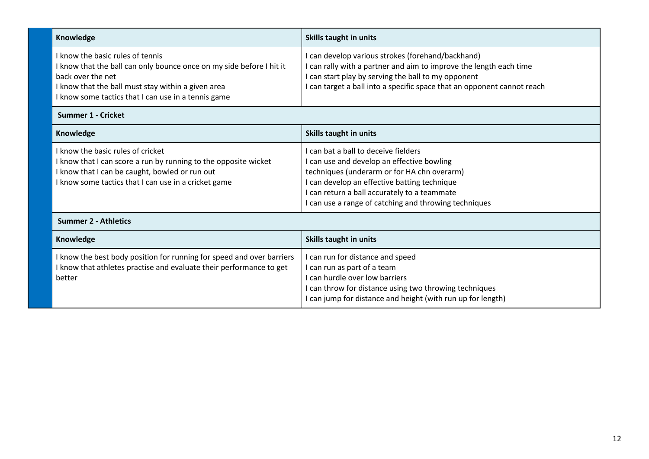| Knowledge                                                                                                                                                                                                                                  | Skills taught in units                                                                                                                                                                                                                                                                     |
|--------------------------------------------------------------------------------------------------------------------------------------------------------------------------------------------------------------------------------------------|--------------------------------------------------------------------------------------------------------------------------------------------------------------------------------------------------------------------------------------------------------------------------------------------|
| I know the basic rules of tennis<br>I know that the ball can only bounce once on my side before I hit it<br>back over the net<br>I know that the ball must stay within a given area<br>I know some tactics that I can use in a tennis game | I can develop various strokes (forehand/backhand)<br>I can rally with a partner and aim to improve the length each time<br>I can start play by serving the ball to my opponent<br>I can target a ball into a specific space that an opponent cannot reach                                  |
| <b>Summer 1 - Cricket</b>                                                                                                                                                                                                                  |                                                                                                                                                                                                                                                                                            |
| Knowledge                                                                                                                                                                                                                                  | Skills taught in units                                                                                                                                                                                                                                                                     |
| I know the basic rules of cricket<br>I know that I can score a run by running to the opposite wicket<br>I know that I can be caught, bowled or run out<br>I know some tactics that I can use in a cricket game                             | I can bat a ball to deceive fielders<br>I can use and develop an effective bowling<br>techniques (underarm or for HA chn overarm)<br>I can develop an effective batting technique<br>I can return a ball accurately to a teammate<br>I can use a range of catching and throwing techniques |
| <b>Summer 2 - Athletics</b>                                                                                                                                                                                                                |                                                                                                                                                                                                                                                                                            |
| Knowledge                                                                                                                                                                                                                                  | Skills taught in units                                                                                                                                                                                                                                                                     |
| I know the best body position for running for speed and over barriers<br>I know that athletes practise and evaluate their performance to get<br>better                                                                                     | I can run for distance and speed<br>I can run as part of a team<br>I can hurdle over low barriers<br>I can throw for distance using two throwing techniques<br>I can jump for distance and height (with run up for length)                                                                 |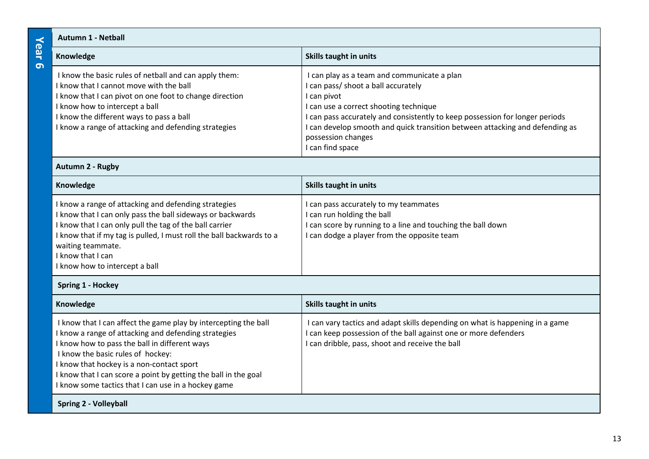## **Year 6 Autumn 1 - Netball**

| <b>Service Service</b><br><b>Service Service</b><br>$\mathcal{L}(\mathcal{L})$ and $\mathcal{L}(\mathcal{L})$ and $\mathcal{L}(\mathcal{L})$ and $\mathcal{L}(\mathcal{L})$ |  |
|-----------------------------------------------------------------------------------------------------------------------------------------------------------------------------|--|
| . .                                                                                                                                                                         |  |
| $\sim$<br><b>Contract Contract Contract Contract Contract Contract Contract Contract Contract Contract Contract Contract Co</b>                                             |  |
|                                                                                                                                                                             |  |

| Knowledge                                                                                                                                                                                                                                                                                         | Skills taught in units                                                                                                                                                                                                                                                                                      |
|---------------------------------------------------------------------------------------------------------------------------------------------------------------------------------------------------------------------------------------------------------------------------------------------------|-------------------------------------------------------------------------------------------------------------------------------------------------------------------------------------------------------------------------------------------------------------------------------------------------------------|
| I know the basic rules of netball and can apply them:<br>I know that I cannot move with the ball<br>I know that I can pivot on one foot to change direction<br>I know how to intercept a ball<br>I know the different ways to pass a ball<br>I know a range of attacking and defending strategies | I can play as a team and communicate a plan<br>I can pass/ shoot a ball accurately<br>I can pivot<br>I can use a correct shooting technique<br>I can pass accurately and consistently to keep possession for longer periods<br>I can develop smooth and quick transition between attacking and defending as |
|                                                                                                                                                                                                                                                                                                   | possession changes<br>I can find space                                                                                                                                                                                                                                                                      |

### **Autumn 2 - Rugby**

| Skills taught in units<br>Knowledge<br>I know a range of attacking and defending strategies<br>I can pass accurately to my teammates<br>I know that I can only pass the ball sideways or backwards<br>I can run holding the ball<br>I know that I can only pull the tag of the ball carrier<br>I can score by running to a line and touching the ball down<br>I know that if my tag is pulled, I must roll the ball backwards to a<br>I can dodge a player from the opposite team<br>waiting teammate.<br>I know that I can |                                |  |
|-----------------------------------------------------------------------------------------------------------------------------------------------------------------------------------------------------------------------------------------------------------------------------------------------------------------------------------------------------------------------------------------------------------------------------------------------------------------------------------------------------------------------------|--------------------------------|--|
|                                                                                                                                                                                                                                                                                                                                                                                                                                                                                                                             |                                |  |
|                                                                                                                                                                                                                                                                                                                                                                                                                                                                                                                             | I know how to intercept a ball |  |

#### **Spring 1 - Hockey**

| Knowledge                                                                                                                                                                                                                                                                                                                                                                            | Skills taught in units                                                                                                                                                                           |
|--------------------------------------------------------------------------------------------------------------------------------------------------------------------------------------------------------------------------------------------------------------------------------------------------------------------------------------------------------------------------------------|--------------------------------------------------------------------------------------------------------------------------------------------------------------------------------------------------|
| I know that I can affect the game play by intercepting the ball<br>I know a range of attacking and defending strategies<br>I know how to pass the ball in different ways<br>I know the basic rules of hockey:<br>I know that hockey is a non-contact sport<br>I know that I can score a point by getting the ball in the goal<br>I know some tactics that I can use in a hockey game | I can vary tactics and adapt skills depending on what is happening in a game<br>can keep possession of the ball against one or more defenders<br>I can dribble, pass, shoot and receive the ball |
| <b>Spring 2 - Volleyball</b>                                                                                                                                                                                                                                                                                                                                                         |                                                                                                                                                                                                  |